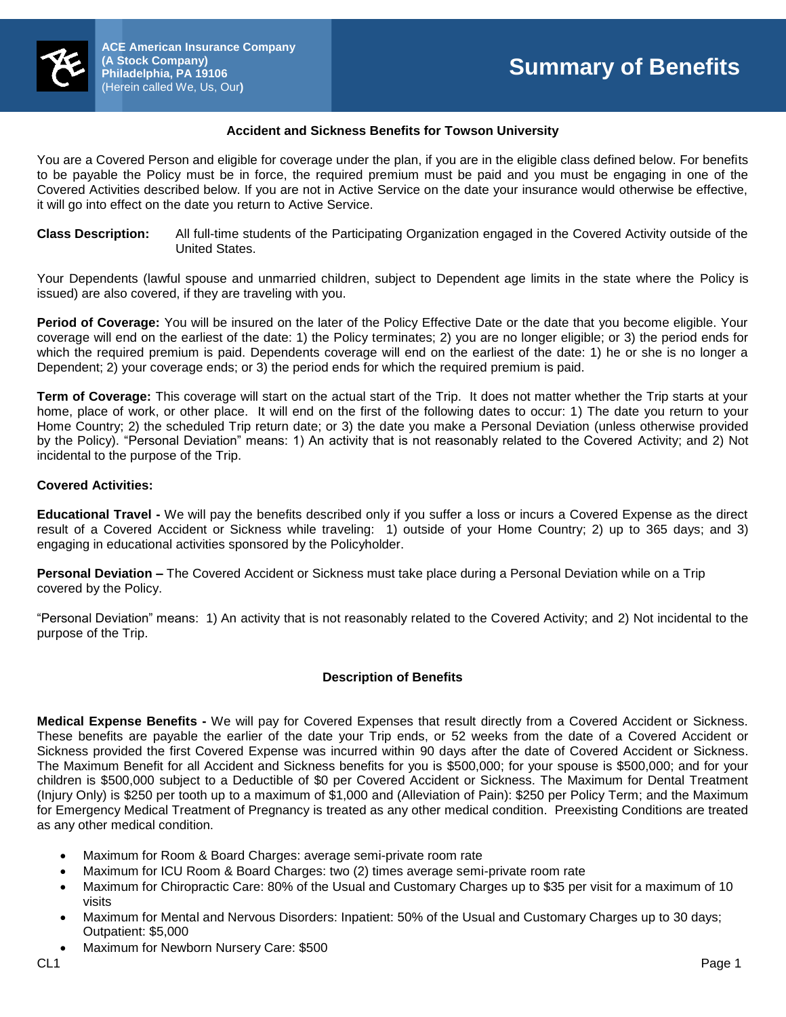

# **Accident and Sickness Benefits for Towson University**

You are a Covered Person and eligible for coverage under the plan, if you are in the eligible class defined below. For benefits to be payable the Policy must be in force, the required premium must be paid and you must be engaging in one of the Covered Activities described below. If you are not in Active Service on the date your insurance would otherwise be effective, it will go into effect on the date you return to Active Service.

**Class Description:** All full-time students of the Participating Organization engaged in the Covered Activity outside of the United States.

Your Dependents (lawful spouse and unmarried children, subject to Dependent age limits in the state where the Policy is issued) are also covered, if they are traveling with you.

**Period of Coverage:** You will be insured on the later of the Policy Effective Date or the date that you become eligible. Your coverage will end on the earliest of the date: 1) the Policy terminates; 2) you are no longer eligible; or 3) the period ends for which the required premium is paid. Dependents coverage will end on the earliest of the date: 1) he or she is no longer a Dependent; 2) your coverage ends; or 3) the period ends for which the required premium is paid.

**Term of Coverage:** This coverage will start on the actual start of the Trip. It does not matter whether the Trip starts at your home, place of work, or other place. It will end on the first of the following dates to occur: 1) The date you return to your Home Country; 2) the scheduled Trip return date; or 3) the date you make a Personal Deviation (unless otherwise provided by the Policy). "Personal Deviation" means: 1) An activity that is not reasonably related to the Covered Activity; and 2) Not incidental to the purpose of the Trip.

# **Covered Activities:**

**Educational Travel -** We will pay the benefits described only if you suffer a loss or incurs a Covered Expense as the direct result of a Covered Accident or Sickness while traveling: 1) outside of your Home Country; 2) up to 365 days; and 3) engaging in educational activities sponsored by the Policyholder.

**Personal Deviation –** The Covered Accident or Sickness must take place during a Personal Deviation while on a Trip covered by the Policy.

"Personal Deviation" means: 1) An activity that is not reasonably related to the Covered Activity; and 2) Not incidental to the purpose of the Trip.

# **Description of Benefits**

**Medical Expense Benefits -** We will pay for Covered Expenses that result directly from a Covered Accident or Sickness. These benefits are payable the earlier of the date your Trip ends, or 52 weeks from the date of a Covered Accident or Sickness provided the first Covered Expense was incurred within 90 days after the date of Covered Accident or Sickness. The Maximum Benefit for all Accident and Sickness benefits for you is \$500,000; for your spouse is \$500,000; and for your children is \$500,000 subject to a Deductible of \$0 per Covered Accident or Sickness. The Maximum for Dental Treatment (Injury Only) is \$250 per tooth up to a maximum of \$1,000 and (Alleviation of Pain): \$250 per Policy Term; and the Maximum for Emergency Medical Treatment of Pregnancy is treated as any other medical condition. Preexisting Conditions are treated as any other medical condition.

- Maximum for Room & Board Charges: average semi-private room rate
- Maximum for ICU Room & Board Charges: two (2) times average semi-private room rate
- Maximum for Chiropractic Care: 80% of the Usual and Customary Charges up to \$35 per visit for a maximum of 10 visits
- Maximum for Mental and Nervous Disorders: Inpatient: 50% of the Usual and Customary Charges up to 30 days; Outpatient: \$5,000
- Maximum for Newborn Nursery Care: \$500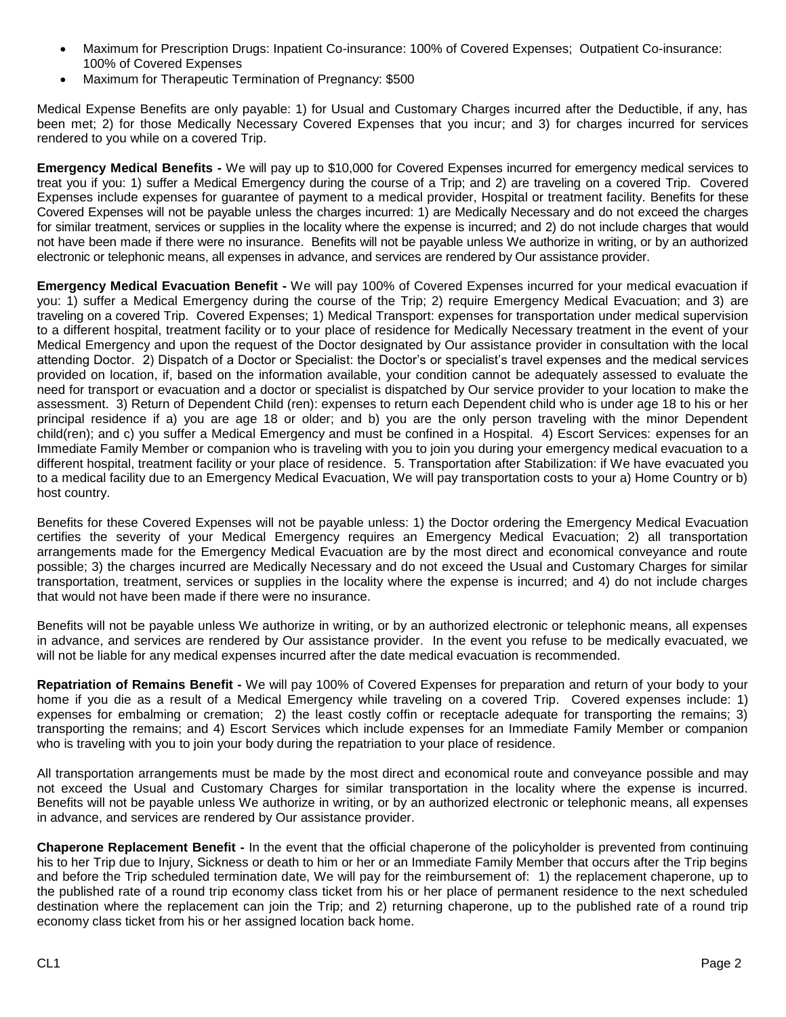- Maximum for Prescription Drugs: Inpatient Co-insurance: 100% of Covered Expenses; Outpatient Co-insurance: 100% of Covered Expenses
- Maximum for Therapeutic Termination of Pregnancy: \$500

Medical Expense Benefits are only payable: 1) for Usual and Customary Charges incurred after the Deductible, if any, has been met; 2) for those Medically Necessary Covered Expenses that you incur; and 3) for charges incurred for services rendered to you while on a covered Trip.

**Emergency Medical Benefits -** We will pay up to \$10,000 for Covered Expenses incurred for emergency medical services to treat you if you: 1) suffer a Medical Emergency during the course of a Trip; and 2) are traveling on a covered Trip. Covered Expenses include expenses for guarantee of payment to a medical provider, Hospital or treatment facility. Benefits for these Covered Expenses will not be payable unless the charges incurred: 1) are Medically Necessary and do not exceed the charges for similar treatment, services or supplies in the locality where the expense is incurred; and 2) do not include charges that would not have been made if there were no insurance. Benefits will not be payable unless We authorize in writing, or by an authorized electronic or telephonic means, all expenses in advance, and services are rendered by Our assistance provider.

**Emergency Medical Evacuation Benefit -** We will pay 100% of Covered Expenses incurred for your medical evacuation if you: 1) suffer a Medical Emergency during the course of the Trip; 2) require Emergency Medical Evacuation; and 3) are traveling on a covered Trip. Covered Expenses; 1) Medical Transport: expenses for transportation under medical supervision to a different hospital, treatment facility or to your place of residence for Medically Necessary treatment in the event of your Medical Emergency and upon the request of the Doctor designated by Our assistance provider in consultation with the local attending Doctor. 2) Dispatch of a Doctor or Specialist: the Doctor's or specialist's travel expenses and the medical services provided on location, if, based on the information available, your condition cannot be adequately assessed to evaluate the need for transport or evacuation and a doctor or specialist is dispatched by Our service provider to your location to make the assessment. 3) Return of Dependent Child (ren): expenses to return each Dependent child who is under age 18 to his or her principal residence if a) you are age 18 or older; and b) you are the only person traveling with the minor Dependent child(ren); and c) you suffer a Medical Emergency and must be confined in a Hospital. 4) Escort Services: expenses for an Immediate Family Member or companion who is traveling with you to join you during your emergency medical evacuation to a different hospital, treatment facility or your place of residence. 5. Transportation after Stabilization: if We have evacuated you to a medical facility due to an Emergency Medical Evacuation, We will pay transportation costs to your a) Home Country or b) host country.

Benefits for these Covered Expenses will not be payable unless: 1) the Doctor ordering the Emergency Medical Evacuation certifies the severity of your Medical Emergency requires an Emergency Medical Evacuation; 2) all transportation arrangements made for the Emergency Medical Evacuation are by the most direct and economical conveyance and route possible; 3) the charges incurred are Medically Necessary and do not exceed the Usual and Customary Charges for similar transportation, treatment, services or supplies in the locality where the expense is incurred; and 4) do not include charges that would not have been made if there were no insurance.

Benefits will not be payable unless We authorize in writing, or by an authorized electronic or telephonic means, all expenses in advance, and services are rendered by Our assistance provider. In the event you refuse to be medically evacuated, we will not be liable for any medical expenses incurred after the date medical evacuation is recommended.

**Repatriation of Remains Benefit -** We will pay 100% of Covered Expenses for preparation and return of your body to your home if you die as a result of a Medical Emergency while traveling on a covered Trip. Covered expenses include: 1) expenses for embalming or cremation; 2) the least costly coffin or receptacle adequate for transporting the remains; 3) transporting the remains; and 4) Escort Services which include expenses for an Immediate Family Member or companion who is traveling with you to join your body during the repatriation to your place of residence.

All transportation arrangements must be made by the most direct and economical route and conveyance possible and may not exceed the Usual and Customary Charges for similar transportation in the locality where the expense is incurred. Benefits will not be payable unless We authorize in writing, or by an authorized electronic or telephonic means, all expenses in advance, and services are rendered by Our assistance provider.

**Chaperone Replacement Benefit -** In the event that the official chaperone of the policyholder is prevented from continuing his to her Trip due to Injury, Sickness or death to him or her or an Immediate Family Member that occurs after the Trip begins and before the Trip scheduled termination date, We will pay for the reimbursement of: 1) the replacement chaperone, up to the published rate of a round trip economy class ticket from his or her place of permanent residence to the next scheduled destination where the replacement can join the Trip; and 2) returning chaperone, up to the published rate of a round trip economy class ticket from his or her assigned location back home.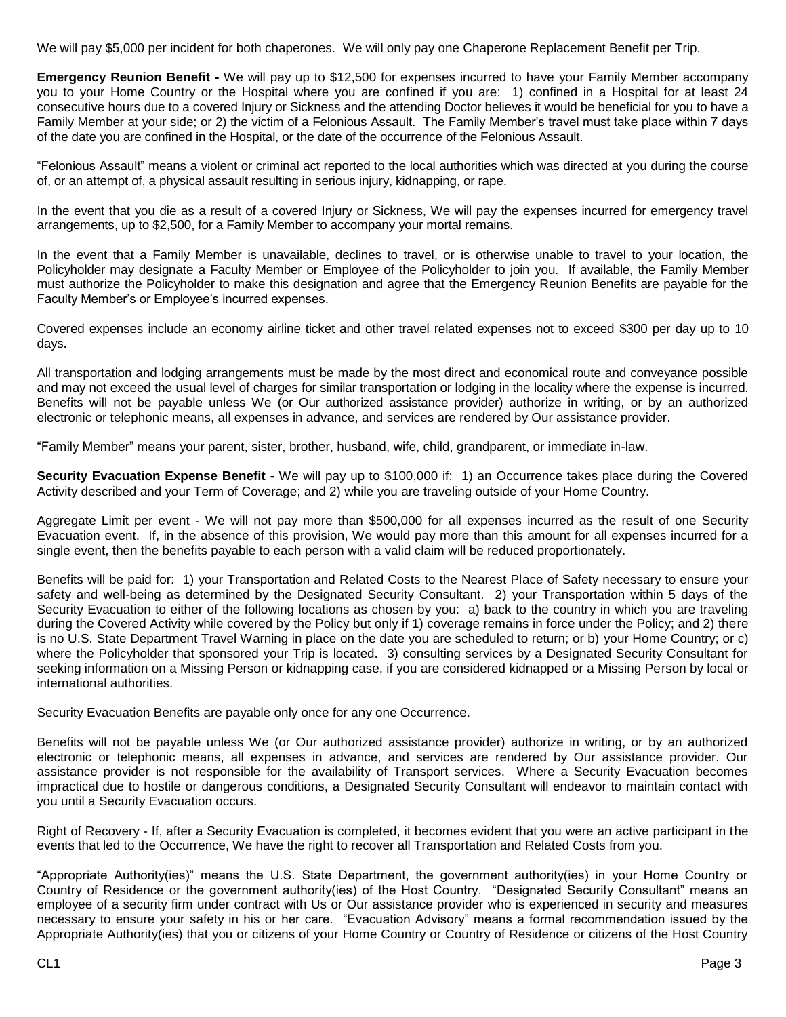We will pay \$5,000 per incident for both chaperones. We will only pay one Chaperone Replacement Benefit per Trip.

**Emergency Reunion Benefit -** We will pay up to \$12,500 for expenses incurred to have your Family Member accompany you to your Home Country or the Hospital where you are confined if you are: 1) confined in a Hospital for at least 24 consecutive hours due to a covered Injury or Sickness and the attending Doctor believes it would be beneficial for you to have a Family Member at your side; or 2) the victim of a Felonious Assault. The Family Member's travel must take place within 7 days of the date you are confined in the Hospital, or the date of the occurrence of the Felonious Assault.

"Felonious Assault" means a violent or criminal act reported to the local authorities which was directed at you during the course of, or an attempt of, a physical assault resulting in serious injury, kidnapping, or rape.

In the event that you die as a result of a covered Injury or Sickness, We will pay the expenses incurred for emergency travel arrangements, up to \$2,500, for a Family Member to accompany your mortal remains.

In the event that a Family Member is unavailable, declines to travel, or is otherwise unable to travel to your location, the Policyholder may designate a Faculty Member or Employee of the Policyholder to join you. If available, the Family Member must authorize the Policyholder to make this designation and agree that the Emergency Reunion Benefits are payable for the Faculty Member's or Employee's incurred expenses.

Covered expenses include an economy airline ticket and other travel related expenses not to exceed \$300 per day up to 10 days.

All transportation and lodging arrangements must be made by the most direct and economical route and conveyance possible and may not exceed the usual level of charges for similar transportation or lodging in the locality where the expense is incurred. Benefits will not be payable unless We (or Our authorized assistance provider) authorize in writing, or by an authorized electronic or telephonic means, all expenses in advance, and services are rendered by Our assistance provider.

"Family Member" means your parent, sister, brother, husband, wife, child, grandparent, or immediate in-law.

**Security Evacuation Expense Benefit -** We will pay up to \$100,000 if: 1) an Occurrence takes place during the Covered Activity described and your Term of Coverage; and 2) while you are traveling outside of your Home Country.

Aggregate Limit per event - We will not pay more than \$500,000 for all expenses incurred as the result of one Security Evacuation event. If, in the absence of this provision, We would pay more than this amount for all expenses incurred for a single event, then the benefits payable to each person with a valid claim will be reduced proportionately.

Benefits will be paid for: 1) your Transportation and Related Costs to the Nearest Place of Safety necessary to ensure your safety and well-being as determined by the Designated Security Consultant. 2) your Transportation within 5 days of the Security Evacuation to either of the following locations as chosen by you: a) back to the country in which you are traveling during the Covered Activity while covered by the Policy but only if 1) coverage remains in force under the Policy; and 2) there is no U.S. State Department Travel Warning in place on the date you are scheduled to return; or b) your Home Country; or c) where the Policyholder that sponsored your Trip is located. 3) consulting services by a Designated Security Consultant for seeking information on a Missing Person or kidnapping case, if you are considered kidnapped or a Missing Person by local or international authorities.

Security Evacuation Benefits are payable only once for any one Occurrence.

Benefits will not be payable unless We (or Our authorized assistance provider) authorize in writing, or by an authorized electronic or telephonic means, all expenses in advance, and services are rendered by Our assistance provider. Our assistance provider is not responsible for the availability of Transport services. Where a Security Evacuation becomes impractical due to hostile or dangerous conditions, a Designated Security Consultant will endeavor to maintain contact with you until a Security Evacuation occurs.

Right of Recovery - If, after a Security Evacuation is completed, it becomes evident that you were an active participant in the events that led to the Occurrence, We have the right to recover all Transportation and Related Costs from you.

"Appropriate Authority(ies)" means the U.S. State Department, the government authority(ies) in your Home Country or Country of Residence or the government authority(ies) of the Host Country. "Designated Security Consultant" means an employee of a security firm under contract with Us or Our assistance provider who is experienced in security and measures necessary to ensure your safety in his or her care. "Evacuation Advisory" means a formal recommendation issued by the Appropriate Authority(ies) that you or citizens of your Home Country or Country of Residence or citizens of the Host Country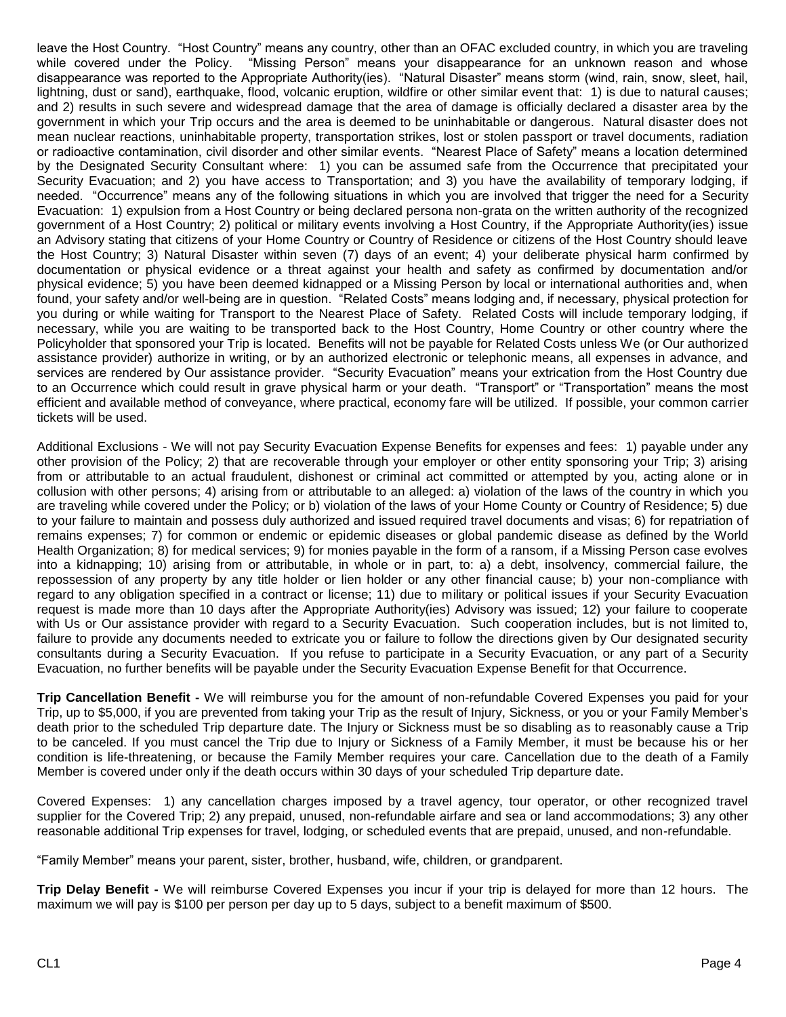leave the Host Country. "Host Country" means any country, other than an OFAC excluded country, in which you are traveling<br>while covered under the Policy. "Missing Person" means your disappearance for an unknown reason and "Missing Person" means your disappearance for an unknown reason and whose disappearance was reported to the Appropriate Authority(ies). "Natural Disaster" means storm (wind, rain, snow, sleet, hail, lightning, dust or sand), earthquake, flood, volcanic eruption, wildfire or other similar event that: 1) is due to natural causes; and 2) results in such severe and widespread damage that the area of damage is officially declared a disaster area by the government in which your Trip occurs and the area is deemed to be uninhabitable or dangerous. Natural disaster does not mean nuclear reactions, uninhabitable property, transportation strikes, lost or stolen passport or travel documents, radiation or radioactive contamination, civil disorder and other similar events. "Nearest Place of Safety" means a location determined by the Designated Security Consultant where: 1) you can be assumed safe from the Occurrence that precipitated your Security Evacuation; and 2) you have access to Transportation; and 3) you have the availability of temporary lodging, if needed. "Occurrence" means any of the following situations in which you are involved that trigger the need for a Security Evacuation: 1) expulsion from a Host Country or being declared persona non-grata on the written authority of the recognized government of a Host Country; 2) political or military events involving a Host Country, if the Appropriate Authority(ies) issue an Advisory stating that citizens of your Home Country or Country of Residence or citizens of the Host Country should leave the Host Country; 3) Natural Disaster within seven (7) days of an event; 4) your deliberate physical harm confirmed by documentation or physical evidence or a threat against your health and safety as confirmed by documentation and/or physical evidence; 5) you have been deemed kidnapped or a Missing Person by local or international authorities and, when found, your safety and/or well-being are in question. "Related Costs" means lodging and, if necessary, physical protection for you during or while waiting for Transport to the Nearest Place of Safety. Related Costs will include temporary lodging, if necessary, while you are waiting to be transported back to the Host Country, Home Country or other country where the Policyholder that sponsored your Trip is located. Benefits will not be payable for Related Costs unless We (or Our authorized assistance provider) authorize in writing, or by an authorized electronic or telephonic means, all expenses in advance, and services are rendered by Our assistance provider. "Security Evacuation" means your extrication from the Host Country due to an Occurrence which could result in grave physical harm or your death. "Transport" or "Transportation" means the most efficient and available method of conveyance, where practical, economy fare will be utilized. If possible, your common carrier tickets will be used.

Additional Exclusions - We will not pay Security Evacuation Expense Benefits for expenses and fees: 1) payable under any other provision of the Policy; 2) that are recoverable through your employer or other entity sponsoring your Trip; 3) arising from or attributable to an actual fraudulent, dishonest or criminal act committed or attempted by you, acting alone or in collusion with other persons; 4) arising from or attributable to an alleged: a) violation of the laws of the country in which you are traveling while covered under the Policy; or b) violation of the laws of your Home County or Country of Residence; 5) due to your failure to maintain and possess duly authorized and issued required travel documents and visas; 6) for repatriation of remains expenses; 7) for common or endemic or epidemic diseases or global pandemic disease as defined by the World Health Organization; 8) for medical services; 9) for monies payable in the form of a ransom, if a Missing Person case evolves into a kidnapping; 10) arising from or attributable, in whole or in part, to: a) a debt, insolvency, commercial failure, the repossession of any property by any title holder or lien holder or any other financial cause; b) your non-compliance with regard to any obligation specified in a contract or license; 11) due to military or political issues if your Security Evacuation request is made more than 10 days after the Appropriate Authority(ies) Advisory was issued; 12) your failure to cooperate with Us or Our assistance provider with regard to a Security Evacuation. Such cooperation includes, but is not limited to, failure to provide any documents needed to extricate you or failure to follow the directions given by Our designated security consultants during a Security Evacuation. If you refuse to participate in a Security Evacuation, or any part of a Security Evacuation, no further benefits will be payable under the Security Evacuation Expense Benefit for that Occurrence.

**Trip Cancellation Benefit -** We will reimburse you for the amount of non-refundable Covered Expenses you paid for your Trip, up to \$5,000, if you are prevented from taking your Trip as the result of Injury, Sickness, or you or your Family Member's death prior to the scheduled Trip departure date. The Injury or Sickness must be so disabling as to reasonably cause a Trip to be canceled. If you must cancel the Trip due to Injury or Sickness of a Family Member, it must be because his or her condition is life-threatening, or because the Family Member requires your care. Cancellation due to the death of a Family Member is covered under only if the death occurs within 30 days of your scheduled Trip departure date.

Covered Expenses: 1) any cancellation charges imposed by a travel agency, tour operator, or other recognized travel supplier for the Covered Trip; 2) any prepaid, unused, non-refundable airfare and sea or land accommodations; 3) any other reasonable additional Trip expenses for travel, lodging, or scheduled events that are prepaid, unused, and non-refundable.

"Family Member" means your parent, sister, brother, husband, wife, children, or grandparent.

**Trip Delay Benefit -** We will reimburse Covered Expenses you incur if your trip is delayed for more than 12 hours. The maximum we will pay is \$100 per person per day up to 5 days, subject to a benefit maximum of \$500.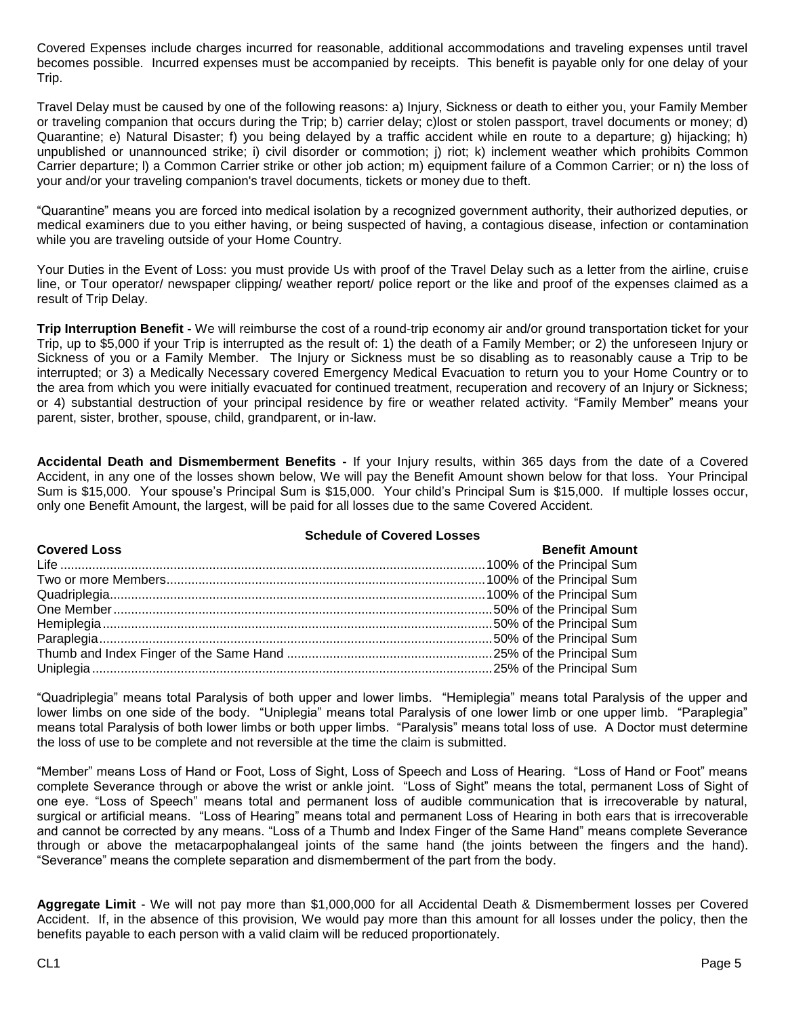Covered Expenses include charges incurred for reasonable, additional accommodations and traveling expenses until travel becomes possible. Incurred expenses must be accompanied by receipts. This benefit is payable only for one delay of your Trip.

Travel Delay must be caused by one of the following reasons: a) Injury, Sickness or death to either you, your Family Member or traveling companion that occurs during the Trip; b) carrier delay; c)lost or stolen passport, travel documents or money; d) Quarantine; e) Natural Disaster; f) you being delayed by a traffic accident while en route to a departure; g) hijacking; h) unpublished or unannounced strike; i) civil disorder or commotion; j) riot; k) inclement weather which prohibits Common Carrier departure; l) a Common Carrier strike or other job action; m) equipment failure of a Common Carrier; or n) the loss of your and/or your traveling companion's travel documents, tickets or money due to theft.

"Quarantine" means you are forced into medical isolation by a recognized government authority, their authorized deputies, or medical examiners due to you either having, or being suspected of having, a contagious disease, infection or contamination while you are traveling outside of your Home Country.

Your Duties in the Event of Loss: you must provide Us with proof of the Travel Delay such as a letter from the airline, cruise line, or Tour operator/ newspaper clipping/ weather report/ police report or the like and proof of the expenses claimed as a result of Trip Delay.

**Trip Interruption Benefit -** We will reimburse the cost of a round-trip economy air and/or ground transportation ticket for your Trip, up to \$5,000 if your Trip is interrupted as the result of: 1) the death of a Family Member; or 2) the unforeseen Injury or Sickness of you or a Family Member. The Injury or Sickness must be so disabling as to reasonably cause a Trip to be interrupted; or 3) a Medically Necessary covered Emergency Medical Evacuation to return you to your Home Country or to the area from which you were initially evacuated for continued treatment, recuperation and recovery of an Injury or Sickness; or 4) substantial destruction of your principal residence by fire or weather related activity. "Family Member" means your parent, sister, brother, spouse, child, grandparent, or in-law.

**Accidental Death and Dismemberment Benefits -** If your Injury results, within 365 days from the date of a Covered Accident, in any one of the losses shown below, We will pay the Benefit Amount shown below for that loss. Your Principal Sum is \$15,000. Your spouse's Principal Sum is \$15,000. Your child's Principal Sum is \$15,000. If multiple losses occur, only one Benefit Amount, the largest, will be paid for all losses due to the same Covered Accident.

#### **Schedule of Covered Losses**

| <b>Covered Loss</b> | <b>Benefit Amount</b> |
|---------------------|-----------------------|
|                     |                       |
|                     |                       |
|                     |                       |
|                     |                       |
|                     |                       |
|                     |                       |
|                     |                       |
|                     |                       |

"Quadriplegia" means total Paralysis of both upper and lower limbs. "Hemiplegia" means total Paralysis of the upper and lower limbs on one side of the body. "Uniplegia" means total Paralysis of one lower limb or one upper limb. "Paraplegia" means total Paralysis of both lower limbs or both upper limbs. "Paralysis" means total loss of use. A Doctor must determine the loss of use to be complete and not reversible at the time the claim is submitted.

"Member" means Loss of Hand or Foot, Loss of Sight, Loss of Speech and Loss of Hearing. "Loss of Hand or Foot" means complete Severance through or above the wrist or ankle joint. "Loss of Sight" means the total, permanent Loss of Sight of one eye. "Loss of Speech" means total and permanent loss of audible communication that is irrecoverable by natural, surgical or artificial means. "Loss of Hearing" means total and permanent Loss of Hearing in both ears that is irrecoverable and cannot be corrected by any means. "Loss of a Thumb and Index Finger of the Same Hand" means complete Severance through or above the metacarpophalangeal joints of the same hand (the joints between the fingers and the hand). "Severance" means the complete separation and dismemberment of the part from the body.

**Aggregate Limit** - We will not pay more than \$1,000,000 for all Accidental Death & Dismemberment losses per Covered Accident. If, in the absence of this provision, We would pay more than this amount for all losses under the policy, then the benefits payable to each person with a valid claim will be reduced proportionately.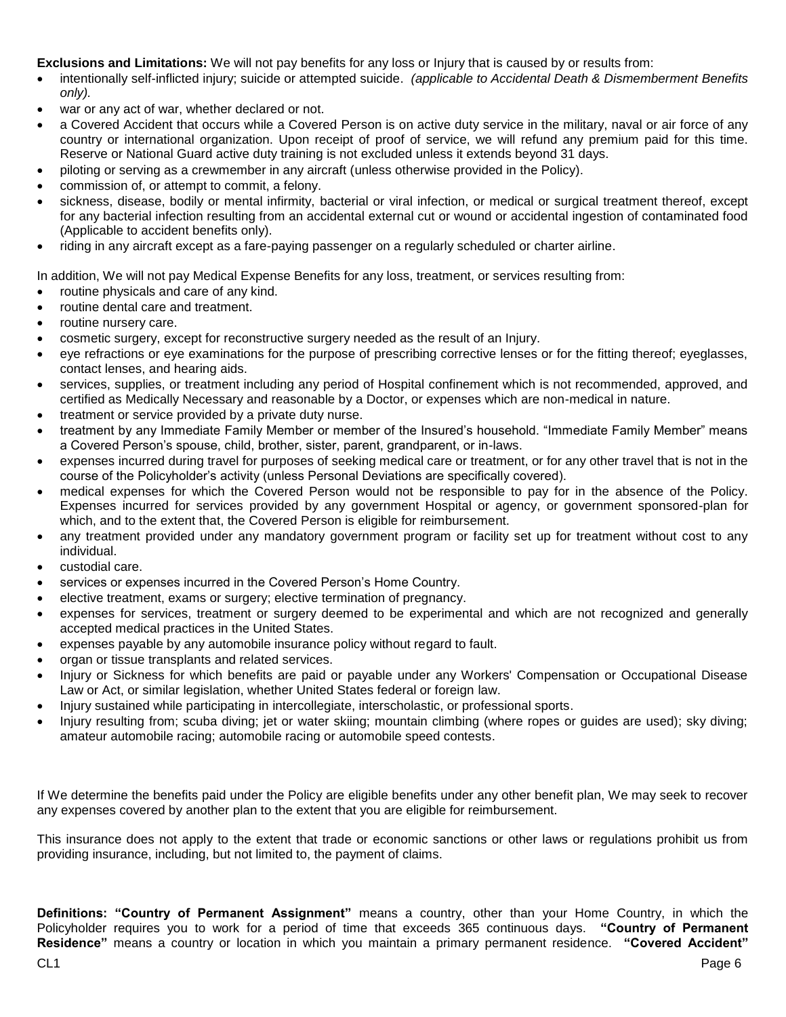# **Exclusions and Limitations:** We will not pay benefits for any loss or Injury that is caused by or results from:

- intentionally self-inflicted injury; suicide or attempted suicide. *(applicable to Accidental Death & Dismemberment Benefits only).*
- war or any act of war, whether declared or not.
- a Covered Accident that occurs while a Covered Person is on active duty service in the military, naval or air force of any country or international organization. Upon receipt of proof of service, we will refund any premium paid for this time. Reserve or National Guard active duty training is not excluded unless it extends beyond 31 days.
- piloting or serving as a crewmember in any aircraft (unless otherwise provided in the Policy).
- commission of, or attempt to commit, a felony.
- sickness, disease, bodily or mental infirmity, bacterial or viral infection, or medical or surgical treatment thereof, except for any bacterial infection resulting from an accidental external cut or wound or accidental ingestion of contaminated food (Applicable to accident benefits only).
- riding in any aircraft except as a fare-paying passenger on a regularly scheduled or charter airline.

In addition, We will not pay Medical Expense Benefits for any loss, treatment, or services resulting from:

- routine physicals and care of any kind.
- routine dental care and treatment.
- routine nursery care.
- cosmetic surgery, except for reconstructive surgery needed as the result of an Injury.
- eye refractions or eye examinations for the purpose of prescribing corrective lenses or for the fitting thereof; eyeglasses, contact lenses, and hearing aids.
- services, supplies, or treatment including any period of Hospital confinement which is not recommended, approved, and certified as Medically Necessary and reasonable by a Doctor, or expenses which are non-medical in nature.
- treatment or service provided by a private duty nurse.
- treatment by any Immediate Family Member or member of the Insured's household. "Immediate Family Member" means a Covered Person's spouse, child, brother, sister, parent, grandparent, or in-laws.
- expenses incurred during travel for purposes of seeking medical care or treatment, or for any other travel that is not in the course of the Policyholder's activity (unless Personal Deviations are specifically covered).
- medical expenses for which the Covered Person would not be responsible to pay for in the absence of the Policy. Expenses incurred for services provided by any government Hospital or agency, or government sponsored-plan for which, and to the extent that, the Covered Person is eligible for reimbursement.
- any treatment provided under any mandatory government program or facility set up for treatment without cost to any individual.
- custodial care.
- services or expenses incurred in the Covered Person's Home Country.
- elective treatment, exams or surgery; elective termination of pregnancy.
- expenses for services, treatment or surgery deemed to be experimental and which are not recognized and generally accepted medical practices in the United States.
- expenses payable by any automobile insurance policy without regard to fault.
- organ or tissue transplants and related services.
- Injury or Sickness for which benefits are paid or payable under any Workers' Compensation or Occupational Disease Law or Act, or similar legislation, whether United States federal or foreign law.
- Injury sustained while participating in intercollegiate, interscholastic, or professional sports.
- Injury resulting from; scuba diving; jet or water skiing; mountain climbing (where ropes or guides are used); sky diving; amateur automobile racing; automobile racing or automobile speed contests.

If We determine the benefits paid under the Policy are eligible benefits under any other benefit plan, We may seek to recover any expenses covered by another plan to the extent that you are eligible for reimbursement.

This insurance does not apply to the extent that trade or economic sanctions or other laws or regulations prohibit us from providing insurance, including, but not limited to, the payment of claims.

**Definitions: "Country of Permanent Assignment"** means a country, other than your Home Country, in which the Policyholder requires you to work for a period of time that exceeds 365 continuous days. **"Country of Permanent Residence"** means a country or location in which you maintain a primary permanent residence. **"Covered Accident"**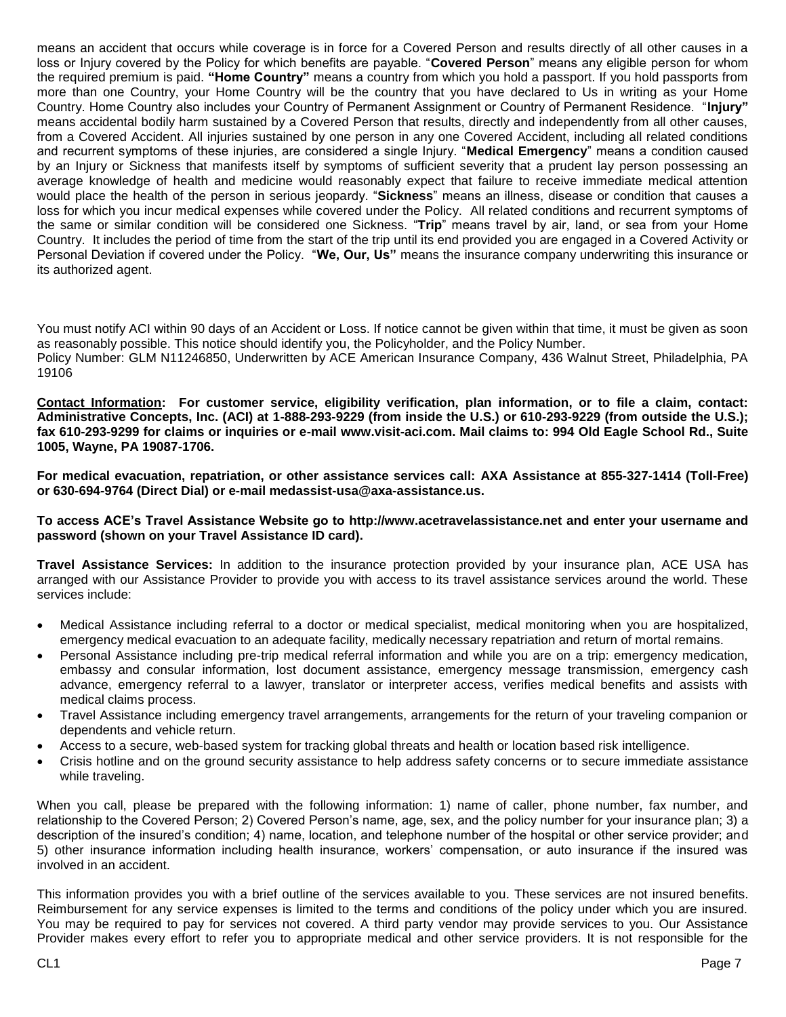means an accident that occurs while coverage is in force for a Covered Person and results directly of all other causes in a loss or Injury covered by the Policy for which benefits are payable. "**Covered Person**" means any eligible person for whom the required premium is paid. **"Home Country"** means a country from which you hold a passport. If you hold passports from more than one Country, your Home Country will be the country that you have declared to Us in writing as your Home Country. Home Country also includes your Country of Permanent Assignment or Country of Permanent Residence. "**Injury"** means accidental bodily harm sustained by a Covered Person that results, directly and independently from all other causes, from a Covered Accident. All injuries sustained by one person in any one Covered Accident, including all related conditions and recurrent symptoms of these injuries, are considered a single Injury. "**Medical Emergency**" means a condition caused by an Injury or Sickness that manifests itself by symptoms of sufficient severity that a prudent lay person possessing an average knowledge of health and medicine would reasonably expect that failure to receive immediate medical attention would place the health of the person in serious jeopardy. "**Sickness**" means an illness, disease or condition that causes a loss for which you incur medical expenses while covered under the Policy. All related conditions and recurrent symptoms of the same or similar condition will be considered one Sickness. "**Trip**" means travel by air, land, or sea from your Home Country. It includes the period of time from the start of the trip until its end provided you are engaged in a Covered Activity or Personal Deviation if covered under the Policy. "**We, Our, Us"** means the insurance company underwriting this insurance or its authorized agent.

You must notify ACI within 90 days of an Accident or Loss. If notice cannot be given within that time, it must be given as soon as reasonably possible. This notice should identify you, the Policyholder, and the Policy Number.

Policy Number: GLM N11246850, Underwritten by ACE American Insurance Company, 436 Walnut Street, Philadelphia, PA 19106

**Contact Information: For customer service, eligibility verification, plan information, or to file a claim, contact: Administrative Concepts, Inc. (ACI) at 1-888-293-9229 (from inside the U.S.) or 610-293-9229 (from outside the U.S.); fax 610-293-9299 for claims or inquiries or e-mail www.visit-aci.com. Mail claims to: 994 Old Eagle School Rd., Suite 1005, Wayne, PA 19087-1706.**

**For medical evacuation, repatriation, or other assistance services call: AXA Assistance at 855-327-1414 (Toll-Free) or 630-694-9764 (Direct Dial) or e-mail medassist-usa@axa-assistance.us.**

**To access ACE's Travel Assistance Website go to http://www.acetravelassistance.net and enter your username and password (shown on your Travel Assistance ID card).** 

**Travel Assistance Services:** In addition to the insurance protection provided by your insurance plan, ACE USA has arranged with our Assistance Provider to provide you with access to its travel assistance services around the world. These services include:

- Medical Assistance including referral to a doctor or medical specialist, medical monitoring when you are hospitalized, emergency medical evacuation to an adequate facility, medically necessary repatriation and return of mortal remains.
- Personal Assistance including pre-trip medical referral information and while you are on a trip: emergency medication, embassy and consular information, lost document assistance, emergency message transmission, emergency cash advance, emergency referral to a lawyer, translator or interpreter access, verifies medical benefits and assists with medical claims process.
- Travel Assistance including emergency travel arrangements, arrangements for the return of your traveling companion or dependents and vehicle return.
- Access to a secure, web-based system for tracking global threats and health or location based risk intelligence.
- Crisis hotline and on the ground security assistance to help address safety concerns or to secure immediate assistance while traveling.

When you call, please be prepared with the following information: 1) name of caller, phone number, fax number, and relationship to the Covered Person; 2) Covered Person's name, age, sex, and the policy number for your insurance plan; 3) a description of the insured's condition; 4) name, location, and telephone number of the hospital or other service provider; and 5) other insurance information including health insurance, workers' compensation, or auto insurance if the insured was involved in an accident.

This information provides you with a brief outline of the services available to you. These services are not insured benefits. Reimbursement for any service expenses is limited to the terms and conditions of the policy under which you are insured. You may be required to pay for services not covered. A third party vendor may provide services to you. Our Assistance Provider makes every effort to refer you to appropriate medical and other service providers. It is not responsible for the